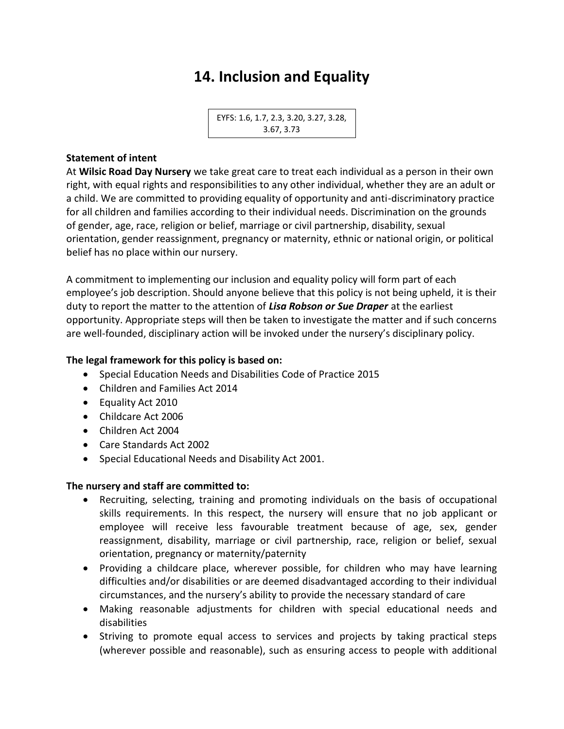# **14. Inclusion and Equality**

EYFS: 1.6, 1.7, 2.3, 3.20, 3.27, 3.28, 3.67, 3.73

#### **Statement of intent**

At **Wilsic Road Day Nursery** we take great care to treat each individual as a person in their own right, with equal rights and responsibilities to any other individual, whether they are an adult or a child. We are committed to providing equality of opportunity and anti-discriminatory practice for all children and families according to their individual needs. Discrimination on the grounds of gender, age, race, religion or belief, marriage or civil partnership, disability, sexual orientation, gender reassignment, pregnancy or maternity, ethnic or national origin, or political belief has no place within our nursery.

A commitment to implementing our inclusion and equality policy will form part of each employee's job description. Should anyone believe that this policy is not being upheld, it is their duty to report the matter to the attention of *Lisa Robson or Sue Draper* at the earliest opportunity. Appropriate steps will then be taken to investigate the matter and if such concerns are well-founded, disciplinary action will be invoked under the nursery's disciplinary policy.

#### **The legal framework for this policy is based on:**

- Special Education Needs and Disabilities Code of Practice 2015
- Children and Families Act 2014
- Equality Act 2010
- Childcare Act 2006
- Children Act 2004
- Care Standards Act 2002
- Special Educational Needs and Disability Act 2001.

#### **The nursery and staff are committed to:**

- Recruiting, selecting, training and promoting individuals on the basis of occupational skills requirements. In this respect, the nursery will ensure that no job applicant or employee will receive less favourable treatment because of age, sex, gender reassignment, disability, marriage or civil partnership, race, religion or belief, sexual orientation, pregnancy or maternity/paternity
- Providing a childcare place, wherever possible, for children who may have learning difficulties and/or disabilities or are deemed disadvantaged according to their individual circumstances, and the nursery's ability to provide the necessary standard of care
- Making reasonable adjustments for children with special educational needs and disabilities
- Striving to promote equal access to services and projects by taking practical steps (wherever possible and reasonable), such as ensuring access to people with additional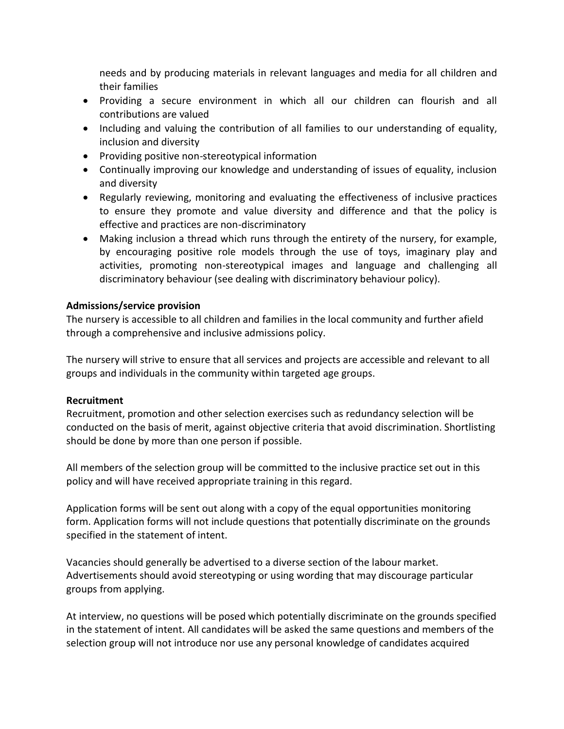needs and by producing materials in relevant languages and media for all children and their families

- Providing a secure environment in which all our children can flourish and all contributions are valued
- Including and valuing the contribution of all families to our understanding of equality, inclusion and diversity
- Providing positive non-stereotypical information
- Continually improving our knowledge and understanding of issues of equality, inclusion and diversity
- Regularly reviewing, monitoring and evaluating the effectiveness of inclusive practices to ensure they promote and value diversity and difference and that the policy is effective and practices are non-discriminatory
- Making inclusion a thread which runs through the entirety of the nursery, for example, by encouraging positive role models through the use of toys, imaginary play and activities, promoting non-stereotypical images and language and challenging all discriminatory behaviour (see dealing with discriminatory behaviour policy).

## **Admissions/service provision**

The nursery is accessible to all children and families in the local community and further afield through a comprehensive and inclusive admissions policy.

The nursery will strive to ensure that all services and projects are accessible and relevant to all groups and individuals in the community within targeted age groups.

#### **Recruitment**

Recruitment, promotion and other selection exercises such as redundancy selection will be conducted on the basis of merit, against objective criteria that avoid discrimination. Shortlisting should be done by more than one person if possible.

All members of the selection group will be committed to the inclusive practice set out in this policy and will have received appropriate training in this regard.

Application forms will be sent out along with a copy of the equal opportunities monitoring form. Application forms will not include questions that potentially discriminate on the grounds specified in the statement of intent.

Vacancies should generally be advertised to a diverse section of the labour market. Advertisements should avoid stereotyping or using wording that may discourage particular groups from applying.

At interview, no questions will be posed which potentially discriminate on the grounds specified in the statement of intent. All candidates will be asked the same questions and members of the selection group will not introduce nor use any personal knowledge of candidates acquired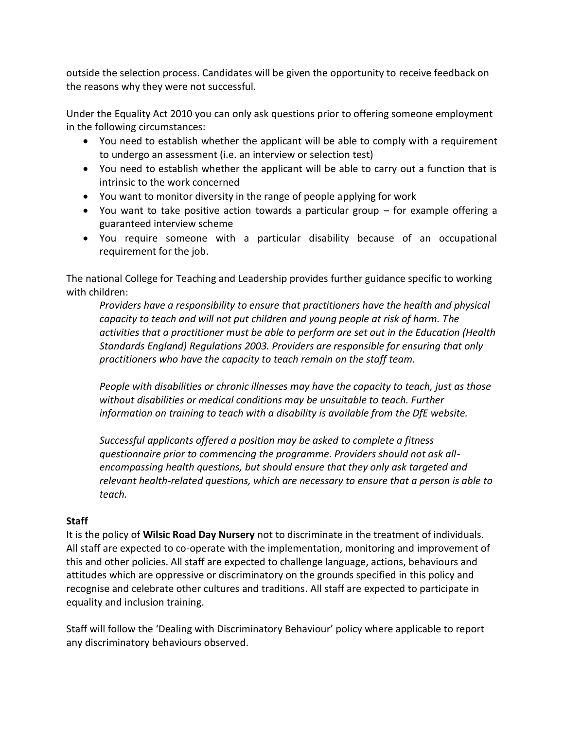outside the selection process. Candidates will be given the opportunity to receive feedback on the reasons why they were not successful.

Under the Equality Act 2010 you can only ask questions prior to offering someone employment in the following circumstances:

- You need to establish whether the applicant will be able to comply with a requirement to undergo an assessment (i.e. an interview or selection test)
- You need to establish whether the applicant will be able to carry out a function that is intrinsic to the work concerned
- You want to monitor diversity in the range of people applying for work
- You want to take positive action towards a particular group for example offering a guaranteed interview scheme
- You require someone with a particular disability because of an occupational requirement for the job.

The national College for Teaching and Leadership provides further guidance specific to working with children:

*Providers have a responsibility to ensure that practitioners have the health and physical capacity to teach and will not put children and young people at risk of harm. The activities that a practitioner must be able to perform are set out in the Education (Health Standards England) Regulations 2003. Providers are responsible for ensuring that only practitioners who have the capacity to teach remain on the staff team.*

*People with disabilities or chronic illnesses may have the capacity to teach, just as those without disabilities or medical conditions may be unsuitable to teach. Further information on training to teach with a disability is available from the DfE website.*

*Successful applicants offered a position may be asked to complete a fitness questionnaire prior to commencing the programme. Providers should not ask allencompassing health questions, but should ensure that they only ask targeted and relevant health-related questions, which are necessary to ensure that a person is able to teach.*

## **Staff**

It is the policy of **Wilsic Road Day Nursery** not to discriminate in the treatment of individuals. All staff are expected to co-operate with the implementation, monitoring and improvement of this and other policies. All staff are expected to challenge language, actions, behaviours and attitudes which are oppressive or discriminatory on the grounds specified in this policy and recognise and celebrate other cultures and traditions. All staff are expected to participate in equality and inclusion training.

Staff will follow the 'Dealing with Discriminatory Behaviour' policy where applicable to report any discriminatory behaviours observed.